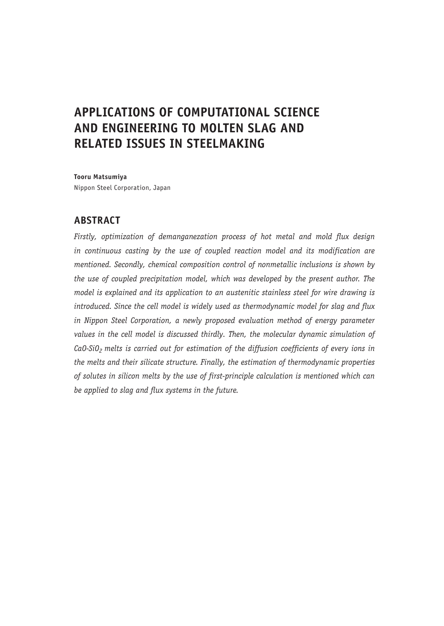# **APPLICATIONS OF COMPUTATIONAL SCIENCE AND ENGINEERING TO MOLTEN SLAG AND RELATED ISSUES IN STEELMAKING**

**Tooru Matsumiya** Nippon Steel Corporation, Japan

## **ABSTRACT**

*Firstly, optimization of demanganezation process of hot metal and mold flux design in continuous casting by the use of coupled reaction model and its modification are mentioned. Secondly, chemical composition control of nonmetallic inclusions is shown by the use of coupled precipitation model, which was developed by the present author. The model is explained and its application to an austenitic stainless steel for wire drawing is introduced. Since the cell model is widely used as thermodynamic model for slag and flux in Nippon Steel Corporation, a newly proposed evaluation method of energy parameter values in the cell model is discussed thirdly. Then, the molecular dynamic simulation of*  CaO-SiO<sub>2</sub> melts is carried out for estimation of the diffusion coefficients of every ions in *the melts and their silicate structure. Finally, the estimation of thermodynamic properties of solutes in silicon melts by the use of first-principle calculation is mentioned which can be applied to slag and flux systems in the future.*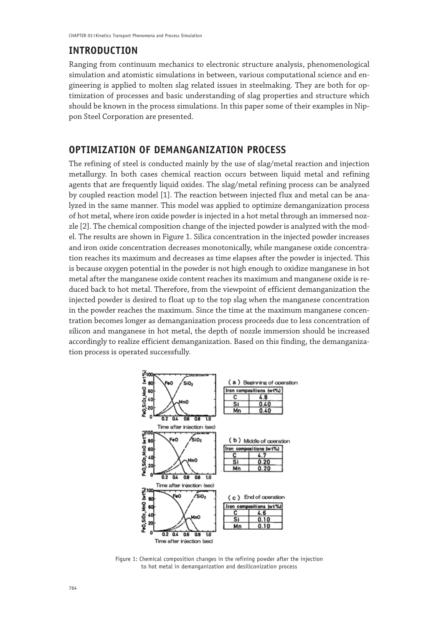### **INTRODUCTION**

Ranging from continuum mechanics to electronic structure analysis, phenomenological simulation and atomistic simulations in between, various computational science and engineering is applied to molten slag related issues in steelmaking. They are both for optimization of processes and basic understanding of slag properties and structure which should be known in the process simulations. In this paper some of their examples in Nippon Steel Corporation are presented.

## **OPTIMIZATION OF DEMANGANIZATION PROCESS**

The refining of steel is conducted mainly by the use of slag/metal reaction and injection metallurgy. In both cases chemical reaction occurs between liquid metal and refining agents that are frequently liquid oxides. The slag/metal refining process can be analyzed by coupled reaction model [1]. The reaction between injected flux and metal can be analyzed in the same manner. This model was applied to optimize demanganization process of hot metal, where iron oxide powder is injected in a hot metal through an immersed nozzle [2]. The chemical composition change of the injected powder is analyzed with the model. The results are shown in Figure 1. Silica concentration in the injected powder increases and iron oxide concentration decreases monotonically, while manganese oxide concentration reaches its maximum and decreases as time elapses after the powder is injected. This is because oxygen potential in the powder is not high enough to oxidize manganese in hot metal after the manganese oxide content reaches its maximum and manganese oxide is reduced back to hot metal. Therefore, from the viewpoint of efficient demanganization the injected powder is desired to float up to the top slag when the manganese concentration in the powder reaches the maximum. Since the time at the maximum manganese concentration becomes longer as demanganization process proceeds due to less concentration of silicon and manganese in hot metal, the depth of nozzle immersion should be increased accordingly to realize efficient demanganization. Based on this finding, the demanganization process is operated successfully.



Figure 1: Chemical composition changes in the refining powder after the injection to hot metal in demanganization and desiliconization process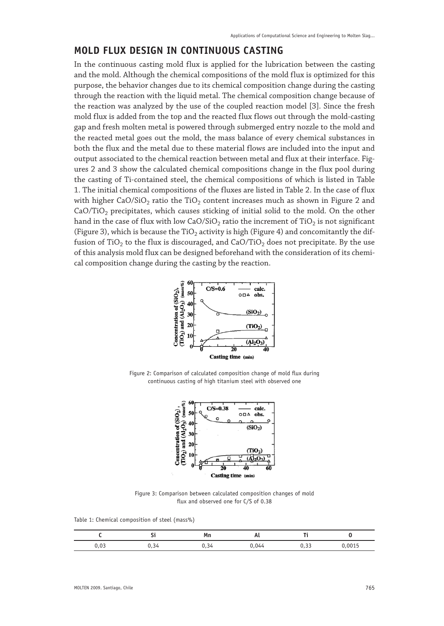## **MOLD FLUX DESIGN IN CONTINUOUS CASTING**

In the continuous casting mold flux is applied for the lubrication between the casting and the mold. Although the chemical compositions of the mold flux is optimized for this purpose, the behavior changes due to its chemical composition change during the casting through the reaction with the liquid metal. The chemical composition change because of the reaction was analyzed by the use of the coupled reaction model [3]. Since the fresh mold flux is added from the top and the reacted flux flows out through the mold-casting gap and fresh molten metal is powered through submerged entry nozzle to the mold and the reacted metal goes out the mold, the mass balance of every chemical substances in both the flux and the metal due to these material flows are included into the input and output associated to the chemical reaction between metal and flux at their interface. Figures 2 and 3 show the calculated chemical compositions change in the flux pool during the casting of Ti-contained steel, the chemical compositions of which is listed in Table 1. The initial chemical compositions of the fluxes are listed in Table 2. In the case of flux with higher CaO/SiO<sub>2</sub> ratio the TiO<sub>2</sub> content increases much as shown in Figure 2 and  $CaO/TiO<sub>2</sub>$  precipitates, which causes sticking of initial solid to the mold. On the other hand in the case of flux with low  $CaO/SiO<sub>2</sub>$  ratio the increment of TiO<sub>2</sub> is not significant (Figure 3), which is because the TiO<sub>2</sub> activity is high (Figure 4) and concomitantly the diffusion of TiO<sub>2</sub> to the flux is discouraged, and CaO/TiO<sub>2</sub> does not precipitate. By the use of this analysis mold flux can be designed beforehand with the consideration of its chemical composition change during the casting by the reaction.



Figure 2: Comparison of calculated composition change of mold flux during continuous casting of high titanium steel with observed one



Figure 3: Comparison between calculated composition changes of mold flux and observed one for C/S of 0.38

Table 1: Chemical composition of steel (mass%)

|             |    | Mn | л. |       |        |
|-------------|----|----|----|-------|--------|
| כה ו<br>,∪J | 34 |    |    | ر ر ر | ህ ዐሀገቲ |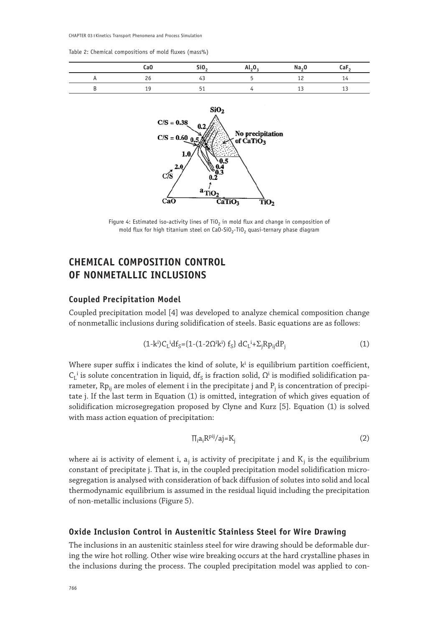CHAPTER 03 | Kinetics Transport Phenomena and Process Simulation

Table 2: Chemical compositions of mold fluxes (mass%)

| Ca <sub>0</sub> | SiO <sub>2</sub> | $Al_{2}O_{2}$ | Na <sub>2</sub> 0 | - car |
|-----------------|------------------|---------------|-------------------|-------|
| 26              | 43.              |               |                   |       |
| <b>. .</b>      |                  |               |                   |       |



Figure 4: Estimated iso-activity lines of TiO<sub>2</sub> in mold flux and change in composition of mold flux for high titanium steel on  $CaO-SiO<sub>2</sub>-TiO<sub>2</sub>$  quasi-ternary phase diagram

## **CHEMICAL COMPOSITION CONTROL OF NONMETALLIC INCLUSIONS**

#### **Coupled Precipitation Model**

Coupled precipitation model [4] was developed to analyze chemical composition change of nonmetallic inclusions during solidification of steels. Basic equations are as follows:

$$
(1-k^i)C_L^i df_S = \{1-(1-2\Omega^i k^i) f_S\} dC_L^i + \Sigma_j Rp_{ij} dP_j \tag{1}
$$

Where super suffix i indicates the kind of solute,  $k^i$  is equilibrium partition coefficient,  $C_L^i$  is solute concentration in liquid,  $df_S$  is fraction solid,  $\Omega^i$  is modified solidification parameter, Rp<sub>ij</sub> are moles of element i in the precipitate j and P<sub>j</sub> is concentration of precipitate j. If the last term in Equation (1) is omitted, integration of which gives equation of solidification microsegregation proposed by Clyne and Kurz [5]. Equation (1) is solved with mass action equation of precipitation:

$$
\Pi_i a_i R^{pij}/aj = K_j \tag{2}
$$

where ai is activity of element i,  $a_j$  is activity of precipitate j and  $K_j$  is the equilibrium constant of precipitate j. That is, in the coupled precipitation model solidification microsegregation is analysed with consideration of back diffusion of solutes into solid and local thermodynamic equilibrium is assumed in the residual liquid including the precipitation of non-metallic inclusions (Figure 5).

#### **Oxide Inclusion Control in Austenitic Stainless Steel for Wire Drawing**

The inclusions in an austenitic stainless steel for wire drawing should be deformable during the wire hot rolling. Other wise wire breaking occurs at the hard crystalline phases in the inclusions during the process. The coupled precipitation model was applied to con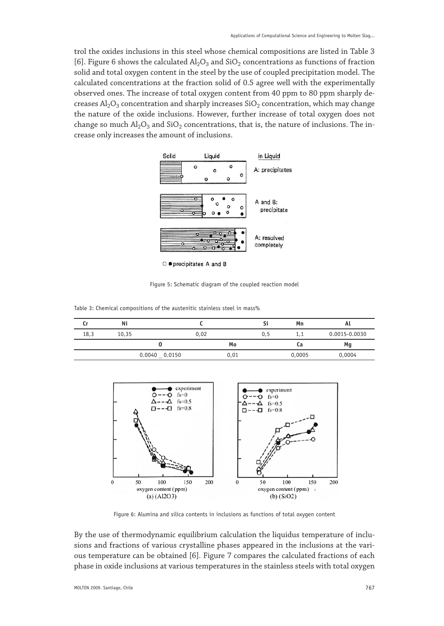trol the oxides inclusions in this steel whose chemical compositions are listed in Table 3 [6]. Figure 6 shows the calculated  $\text{Al}_2\text{O}_3$  and SiO<sub>2</sub> concentrations as functions of fraction solid and total oxygen content in the steel by the use of coupled precipitation model. The calculated concentrations at the fraction solid of 0.5 agree well with the experimentally observed ones. The increase of total oxygen content from 40 ppm to 80 ppm sharply decreases  $\text{Al}_2\text{O}_3$  concentration and sharply increases  $\text{SiO}_2$  concentration, which may change the nature of the oxide inclusions. However, further increase of total oxygen does not change so much  $Al_2O_3$  and  $SiO_2$  concentrations, that is, the nature of inclusions. The increase only increases the amount of inclusions.



Figure 5: Schematic diagram of the coupled reaction model

Table 3: Chemical compositions of the austenitic stainless steel in mass%

| Cr   | Ni    |                  |      |      |     | Mn     | Αl            |
|------|-------|------------------|------|------|-----|--------|---------------|
| 18,3 | 10.35 |                  | 0,02 |      | 0.5 | 1.1    | 0.0015-0.0030 |
|      |       |                  |      | Mo   |     | Сa     | Mg            |
|      |       | 0.0040<br>0.0150 |      | 0,01 |     | 0,0005 | 0,0004        |



Figure 6: Alumina and silica contents in inclusions as functions of total oxygen content

By the use of thermodynamic equilibrium calculation the liquidus temperature of inclusions and fractions of various crystalline phases appeared in the inclusions at the various temperature can be obtained [6]. Figure 7 compares the calculated fractions of each phase in oxide inclusions at various temperatures in the stainless steels with total oxygen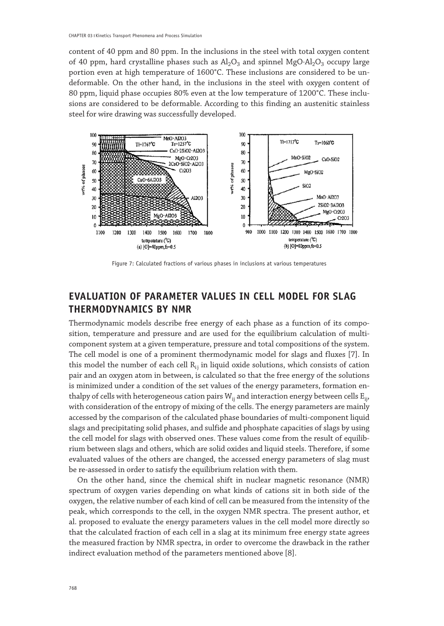content of 40 ppm and 80 ppm. In the inclusions in the steel with total oxygen content of 40 ppm, hard crystalline phases such as  $Al_2O_3$  and spinnel MgO⋅Al<sub>2</sub>O<sub>3</sub> occupy large portion even at high temperature of 1600°C. These inclusions are considered to be undeformable. On the other hand, in the inclusions in the steel with oxygen content of 80 ppm, liquid phase occupies 80% even at the low temperature of 1200°C. These inclusions are considered to be deformable. According to this finding an austenitic stainless steel for wire drawing was successfully developed.



Figure 7: Calculated fractions of various phases in inclusions at various temperatures

## **EVALUATION OF PARAMETER VALUES IN CELL MODEL FOR SLAG THERMODYNAMICS BY NMR**

Thermodynamic models describe free energy of each phase as a function of its composition, temperature and pressure and are used for the equilibrium calculation of multicomponent system at a given temperature, pressure and total compositions of the system. The cell model is one of a prominent thermodynamic model for slags and fluxes [7]. In this model the number of each cell  $R_{i}$  in liquid oxide solutions, which consists of cation pair and an oxygen atom in between, is calculated so that the free energy of the solutions is minimized under a condition of the set values of the energy parameters, formation enthalpy of cells with heterogeneous cation pairs  $W_{ii}$  and interaction energy between cells  $E_{ii}$ , with consideration of the entropy of mixing of the cells. The energy parameters are mainly accessed by the comparison of the calculated phase boundaries of multi-component liquid slags and precipitating solid phases, and sulfide and phosphate capacities of slags by using the cell model for slags with observed ones. These values come from the result of equilibrium between slags and others, which are solid oxides and liquid steels. Therefore, if some evaluated values of the others are changed, the accessed energy parameters of slag must be re-assessed in order to satisfy the equilibrium relation with them.

On the other hand, since the chemical shift in nuclear magnetic resonance (NMR) spectrum of oxygen varies depending on what kinds of cations sit in both side of the oxygen, the relative number of each kind of cell can be measured from the intensity of the peak, which corresponds to the cell, in the oxygen NMR spectra. The present author, et al. proposed to evaluate the energy parameters values in the cell model more directly so that the calculated fraction of each cell in a slag at its minimum free energy state agrees the measured fraction by NMR spectra, in order to overcome the drawback in the rather indirect evaluation method of the parameters mentioned above [8].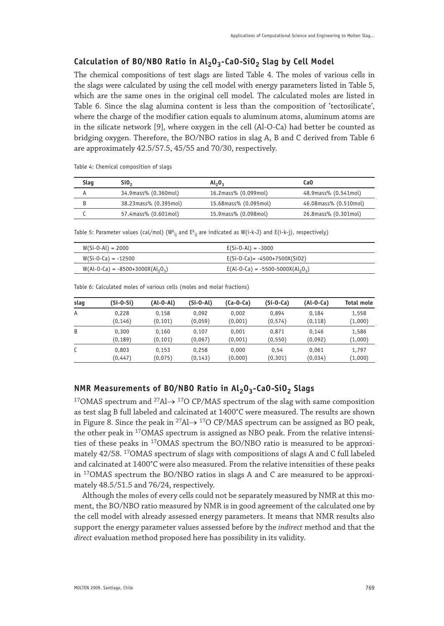## Calculation of BO/NBO Ratio in Al<sub>2</sub>O<sub>3</sub>-CaO-SiO<sub>2</sub> Slag by Cell Model

The chemical compositions of test slags are listed Table 4. The moles of various cells in the slags were calculated by using the cell model with energy parameters listed in Table 5, which are the same ones in the original cell model. The calculated moles are listed in Table 6. Since the slag alumina content is less than the composition of 'tectosilicate', where the charge of the modifier cation equals to aluminum atoms, aluminum atoms are in the silicate network [9], where oxygen in the cell (Al-O-Ca) had better be counted as bridging oxygen. Therefore, the BO/NBO ratios in slag A, B and C derived from Table 6 are approximately 42.5/57.5, 45/55 and 70/30, respectively.

Table 4: Chemical composition of slags

| Slag | Si <sub>0</sub>       | $Al_2O_2$             | CaO                   |
|------|-----------------------|-----------------------|-----------------------|
|      | 34.9mass% (0.360mol)  | 16.2mass% (0.099mol)  | 48.9mass% (0.541mol)  |
|      | 38.23mass% (0.395mol) | 15.68mass% (0.095mol) | 46.08mass% (0.510mol) |
|      | 57.4mass% (0.601mol)  | 15.9mass% (0.098mol)  | 26.8mass% (0.301mol)  |

Table 5: Parameter values (cal/mol) (W $^{\sf k}_{\rm ij}$  and E $^{\sf k}_{\rm ij}$  are indicated as W(i-k-J) and E(i-k-j), respectively)

| $W(Si-0-Al) = 2000$               | $E(Si-0-Al) = -3000$                |
|-----------------------------------|-------------------------------------|
| $W(Si-0-Ca) = -12500$             | $E(Si-0-Ca) = -4500+7500X(Si02)$    |
| $W(AI-O-Ca) = -8500+3000X(AI2O2)$ | $E(Al-O-Ca) = -5500-5000X(Al_2O_2)$ |

| slag | $(Si-0-Si)$ | (Al-O-Al) | $(Si-O-Al)$ | $(Ca-O-Ca)$ | $(Si-O-Ca)$ | $(Al-O-Ca)$ | Total mole |
|------|-------------|-----------|-------------|-------------|-------------|-------------|------------|
| A    | 0.228       | 0.158     | 0.092       | 0.002       | 0.894       | 0.184       | 1.558      |
|      | (0, 146)    | (0, 101)  | (0,059)     | (0,001)     | (0, 574)    | (0, 118)    | (1,000)    |
| B    | 0.300       | 0.160     | 0.107       | 0.001       | 0.871       | 0.146       | 1.586      |
|      | (0, 189)    | (0, 101)  | (0,067)     | (0,001)     | (0, 550)    | (0,092)     | (1,000)    |
| C    | 0.803       | 0.153     | 0.258       | 0.000       | 0.54        | 0.061       | 1.797      |
|      | (0, 447)    | (0,075)   | (0, 143)    | (0.000)     | (0, 301)    | (0.034)     | (1,000)    |

Table 6: Calculated moles of various cells (moles and molar fractions)

#### **NMR Measurements of BO/NBO Ratio in Al<sub>2</sub>O<sub>3</sub>-CaO-SiO<sub>2</sub> Slags**

<sup>17</sup>OMAS spectrum and <sup>27</sup>Al $\rightarrow$  <sup>17</sup>O CP/MAS spectrum of the slag with same composition as test slag B full labeled and calcinated at 1400°C were measured. The results are shown in Figure 8. Since the peak in <sup>27</sup>Al $\rightarrow$  <sup>17</sup>O CP/MAS spectrum can be assigned as BO peak, the other peak in  $17$ OMAS spectrum is assigned as NBO peak. From the relative intensities of these peaks in 17OMAS spectrum the BO/NBO ratio is measured to be approximately 42/58. 17OMAS spectrum of slags with compositions of slags A and C full labeled and calcinated at 1400°C were also measured. From the relative intensities of these peaks in 17OMAS spectrum the BO/NBO ratios in slags A and C are measured to be approximately 48.5/51.5 and 76/24, respectively.

Although the moles of every cells could not be separately measured by NMR at this moment, the BO/NBO ratio measured by NMR is in good agreement of the calculated one by the cell model with already assessed energy parameters. It means that NMR results also support the energy parameter values assessed before by the *indirect* method and that the *direct* evaluation method proposed here has possibility in its validity.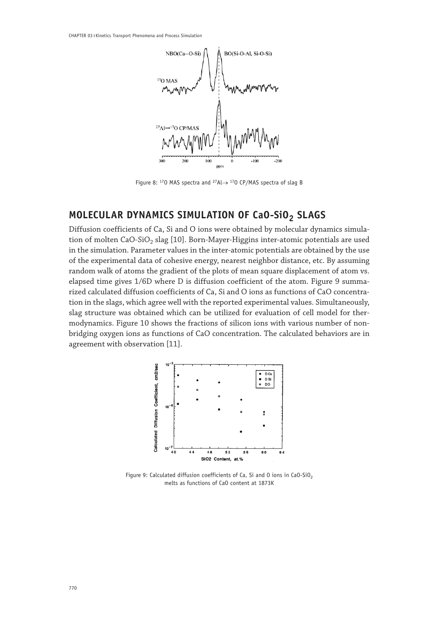

Figure 8: 17O MAS spectra and 27Al→ 17O CP/MAS spectra of slag B

## **MOLECULAR DYNAMICS SIMULATION OF CaO-SiO2 SLAGS**

Diffusion coefficients of Ca, Si and O ions were obtained by molecular dynamics simulation of molten CaO-SiO<sub>2</sub> slag [10]. Born-Mayer-Higgins inter-atomic potentials are used in the simulation. Parameter values in the inter-atomic potentials are obtained by the use of the experimental data of cohesive energy, nearest neighbor distance, etc. By assuming random walk of atoms the gradient of the plots of mean square displacement of atom vs. elapsed time gives 1/6D where D is diffusion coefficient of the atom. Figure 9 summarized calculated diffusion coefficients of Ca, Si and O ions as functions of CaO concentration in the slags, which agree well with the reported experimental values. Simultaneously, slag structure was obtained which can be utilized for evaluation of cell model for thermodynamics. Figure 10 shows the fractions of silicon ions with various number of nonbridging oxygen ions as functions of CaO concentration. The calculated behaviors are in agreement with observation [11].



Figure 9: Calculated diffusion coefficients of Ca, Si and 0 ions in CaO-SiO<sub>2</sub> melts as functions of CaO content at 1873K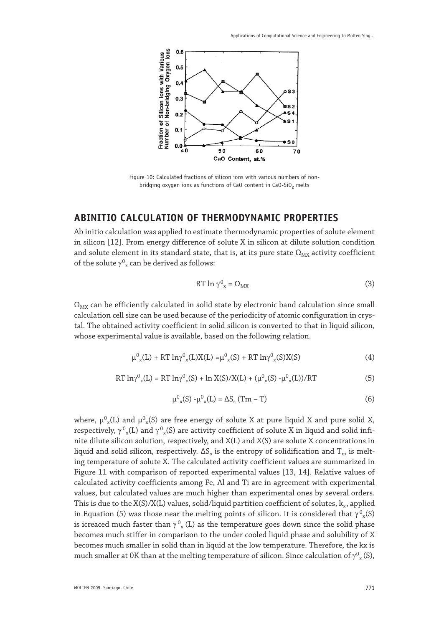

Figure 10: Calculated fractions of silicon ions with various numbers of nonbridging oxygen ions as functions of CaO content in CaO-SiO<sub>2</sub> melts

## **ABINITIO CALCULATION OF THERMODYNAMIC PROPERTIES**

Ab initio calculation was applied to estimate thermodynamic properties of solute element in silicon [12]. From energy difference of solute X in silicon at dilute solution condition and solute element in its standard state, that is, at its pure state  $\Omega_{\text{MX}}$  activity coefficient of the solute  $\gamma^{0}_{x}$  can be derived as follows:

$$
RT \ln \gamma^0_{\alpha} = \Omega_{MX} \tag{3}
$$

 $\Omega_{\text{MX}}$  can be efficiently calculated in solid state by electronic band calculation since small calculation cell size can be used because of the periodicity of atomic configuration in crystal. The obtained activity coefficient in solid silicon is converted to that in liquid silicon, whose experimental value is available, based on the following relation.

$$
\mu^0_{x}(L) + RT \ln \gamma^0_{x}(L)X(L) = \mu^0_{x}(S) + RT \ln \gamma^0_{x}(S)X(S)
$$
\n(4)

$$
RT \ln \gamma^{0}{}_{x}(L) = RT \ln \gamma^{0}{}_{x}(S) + \ln X(S)/X(L) + (\mu^{0}{}_{x}(S) - \mu^{0}{}_{x}(L))/RT
$$
 (5)

$$
\mu^0{}_x(S) - \mu^0{}_x(L) = \Delta S_s (Tm - T)
$$
\n(6)

where,  $\mu_{x}^{0}(L)$  and  $\mu_{x}^{0}(S)$  are free energy of solute X at pure liquid X and pure solid X, respectively,  $\gamma_{x}^{0}(L)$  and  $\gamma_{x}^{0}(S)$  are activity coefficient of solute X in liquid and solid infinite dilute silicon solution, respectively, and X(L) and X(S) are solute X concentrations in liquid and solid silicon, respectively.  $\Delta S_s$  is the entropy of solidification and  $T_m$  is melting temperature of solute X. The calculated activity coefficient values are summarized in Figure 11 with comparison of reported experimental values [13, 14]. Relative values of calculated activity coefficients among Fe, Al and Ti are in agreement with experimental values, but calculated values are much higher than experimental ones by several orders. This is due to the  $X(S)/X(L)$  values, solid/liquid partition coefficient of solutes,  $k_x$ , applied in Equation (5) was those near the melting points of silicon. It is considered that  $\gamma^0_{\ x}(\mathsf{S})$ is icreaced much faster than  $\gamma \frac{0}{x}$  (L) as the temperature goes down since the solid phase becomes much stiffer in comparison to the under cooled liquid phase and solubility of X becomes much smaller in solid than in liquid at the low temperature. Therefore, the kx is much smaller at 0K than at the melting temperature of silicon. Since calculation of  $\gamma_{\rm x}^0(\rm S),$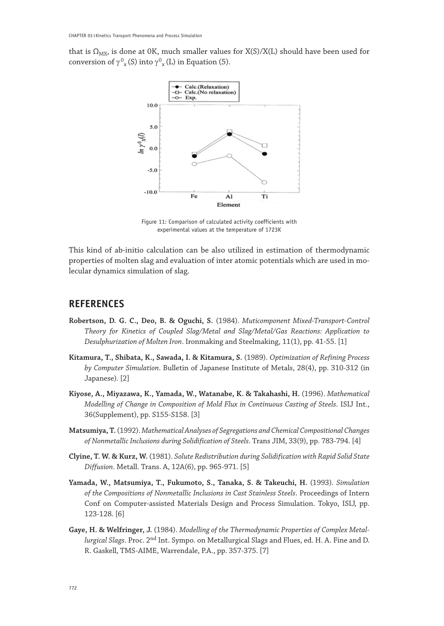that is  $\Omega_{\text{MX}}$ , is done at 0K, much smaller values for X(S)/X(L) should have been used for conversion of  $\gamma^{0}_{x}$  (S) into  $\gamma^{0}_{x}$  (L) in Equation (5).



Figure 11: Comparison of calculated activity coefficients with experimental values at the temperature of 1723K

This kind of ab-initio calculation can be also utilized in estimation of thermodynamic properties of molten slag and evaluation of inter atomic potentials which are used in molecular dynamics simulation of slag.

### **REFERENCES**

- **Robertson, D. G. C., Deo, B. & Oguchi, S.** (1984). *Muticomponent Mixed-Transport-Control Theory for Kinetics of Coupled Slag/Metal and Slag/Metal/Gas Reactions: Application to Desulphurization of Molten Iron*. Ironmaking and Steelmaking, 11(1), pp. 41-55. [1]
- **Kitamura, T., Shibata, K., Sawada, I. & Kitamura, S.** (1989). *Optimization of Refining Process by Computer Simulation*. Bulletin of Japanese Institute of Metals, 28(4), pp. 310-312 (in Japanese). [2]
- **Kiyose, A., Miyazawa, K., Yamada, W., Watanabe, K. & Takahashi, H.** (1996). *Mathematical Modelling of Change in Composition of Mold Flux in Continuous Casting of Steels*. ISIJ Int., 36(Supplement), pp. S155-S158. [3]
- **Matsumiya, T.** (1992). *Mathematical Analyses of Segregations and Chemical Compositional Changes of Nonmetallic Inclusions during Solidification of Steels*. Trans JIM, 33(9), pp. 783-794. [4]
- **Clyine, T. W. & Kurz, W.** (1981). *Solute Redistribution during Solidification with Rapid Solid State Diffusion*. Metall. Trans. A, 12A(6), pp. 965-971. [5]
- **Yamada, W., Matsumiya, T., Fukumoto, S., Tanaka, S. & Takeuchi, H.** (1993). *Simulation of the Compositions of Nonmetallic Inclusions in Cast Stainless Steels*. Proceedings of Intern Conf on Computer-assisted Materials Design and Process Simulation. Tokyo, ISIJ, pp. 123-128. [6]
- **Gaye, H. & Welfringer, J.** (1984). *Modelling of the Thermodynamic Properties of Complex Metallurgical Slags*. Proc. 2nd Int. Sympo. on Metallurgical Slags and Flues, ed. H. A. Fine and D. R. Gaskell, TMS-AIME, Warrendale, P.A., pp. 357-375. [7]